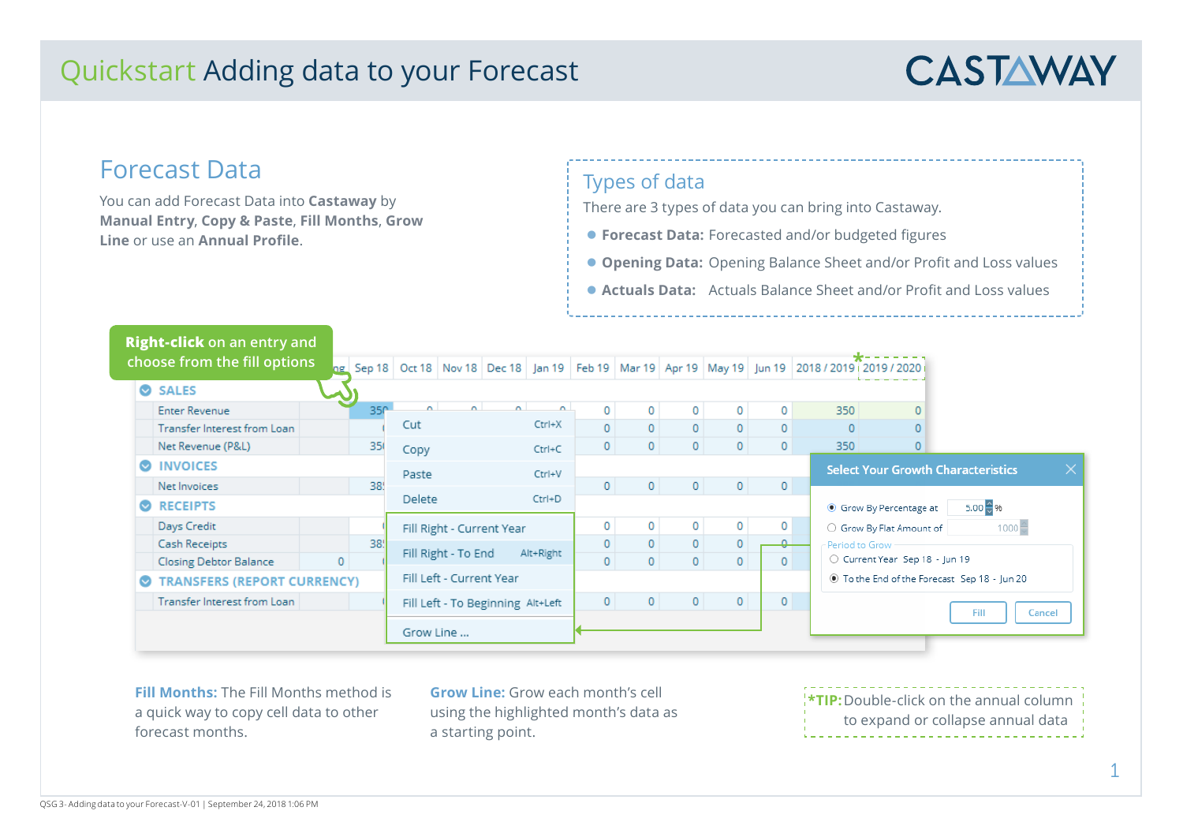## Quickstart Adding data to your Forecast



### Forecast Data

You can add Forecast Data into **Castaway** by **Manual Entry**, **Copy & Paste**, **Fill Months**, **Grow Line** or use an **Annual Profile**.

#### Types of data

There are 3 types of data you can bring into Castaway.

- **Forecast Data:** Forecasted and/or budgeted figures
- **Opening Data:** Opening Balance Sheet and/or Profit and Loss values
- z **Actuals Data:** Actuals Balance Sheet and/or Profit and Loss values

|                                                 | <b>Right-click</b> on an entry and |    |                 |                          |            |                                   |              |                |                |                          |                |                                      |                                |                                                                                               |          |        |
|-------------------------------------------------|------------------------------------|----|-----------------|--------------------------|------------|-----------------------------------|--------------|----------------|----------------|--------------------------|----------------|--------------------------------------|--------------------------------|-----------------------------------------------------------------------------------------------|----------|--------|
|                                                 | choose from the fill options       | ٦g |                 |                          |            |                                   |              |                |                |                          |                |                                      |                                | Sep 18 Oct 18 Nov 18 Dec 18 Jan 19 Feb 19 Mar 19 Apr 19 May 19 Jun 19 2018 / 2019 2019 / 2020 |          |        |
|                                                 | SALES                              |    |                 |                          |            |                                   |              |                |                |                          |                |                                      |                                |                                                                                               |          |        |
|                                                 | <b>Enter Revenue</b>               |    | 35 <sup>o</sup> | $\sim$                   | $\sim$     | $\sim$                            | $\sim$       | 0              | 0              | 0                        | $\overline{0}$ | 0                                    | 350                            | $\Omega$                                                                                      |          |        |
|                                                 | Transfer Interest from Loan        |    |                 | Cut                      |            |                                   | $Ctrl+X$     | $\mathbf{0}$   | $\mathbf{0}$   | $\mathbf 0$              | $\mathbf 0$    | 0                                    | $\Omega$                       |                                                                                               |          |        |
|                                                 | Net Revenue (P&L)                  |    | 35              | Copy                     |            |                                   | $Ctrl + C$   | 0              | 0              | $\circ$                  | 0              | $\mathbf 0$                          | 350                            | $\mathbf{0}$                                                                                  |          |        |
|                                                 | <b>INVOICES</b>                    |    |                 | Paste                    |            | Ctrl+V                            |              |                |                |                          |                |                                      |                                | $\times$<br><b>Select Your Growth Characteristics</b>                                         |          |        |
|                                                 | Net Invoices                       |    | 385             |                          |            |                                   |              | $\mathbf 0$    | $\overline{0}$ | $\overline{0}$           | 0              | $\mathbf{0}$                         |                                |                                                                                               |          |        |
| <b>RECEIPTS</b><br>$\bullet$                    |                                    |    | <b>Delete</b>   |                          | $Ctrl + D$ |                                   |              |                |                |                          |                | $5.00 - 96$<br>Grow By Percentage at |                                |                                                                                               |          |        |
|                                                 | Days Credit                        |    |                 |                          |            | Fill Right - Current Year         |              | 0              | 0              | 0                        | $\circ$        | 0                                    |                                | ○ Grow By Flat Amount of                                                                      | $1000 -$ |        |
|                                                 | Cash Receipts                      |    | 385             |                          | Alt+Right  | $\mathbf{0}$                      | $\Omega$     | $\overline{0}$ | 0              | $\overline{\phantom{a}}$ |                | Period to Grow                       |                                |                                                                                               |          |        |
|                                                 | <b>Closing Debtor Balance</b>      | 0  |                 | Fill Right - To End      |            |                                   | $\mathbf{0}$ | 0              | $\overline{0}$ | $\mathbf{0}$             | $\mathbf{0}$   |                                      | ○ Current Year Sep 18 - Jun 19 |                                                                                               |          |        |
| <b>TRANSFERS (REPORT CURRENCY)</b><br>$\bullet$ |                                    |    |                 | Fill Left - Current Year |            |                                   |              |                |                |                          |                |                                      |                                | 10 To the End of the Forecast Sep 18 - Jun 20                                                 |          |        |
|                                                 | Transfer Interest from Loan        |    |                 |                          |            | Fill Left - To Beginning Alt+Left |              | $\circ$        | $\mathbf{0}$   | 0                        | 0              | 0                                    |                                |                                                                                               |          |        |
|                                                 |                                    |    |                 |                          | Grow Line  |                                   |              |                |                |                          |                |                                      |                                |                                                                                               | Fill     | Cancel |

**Fill Months:** The Fill Months method is a quick way to copy cell data to other forecast months.

**Grow Line:** Grow each month's cell using the highlighted month's data as a starting point.

**\*TIP:**Double-click on the annual column to expand or collapse annual data